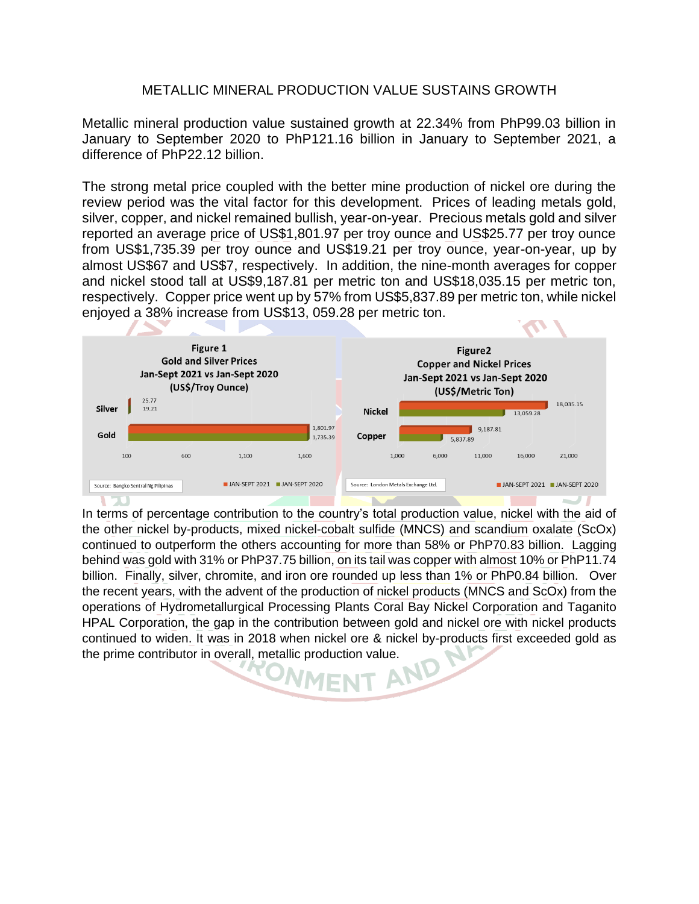## METALLIC MINERAL PRODUCTION VALUE SUSTAINS GROWTH

Metallic mineral production value sustained growth at 22.34% from PhP99.03 billion in January to September 2020 to PhP121.16 billion in January to September 2021, a difference of PhP22.12 billion.

The strong metal price coupled with the better mine production of nickel ore during the review period was the vital factor for this development. Prices of leading metals gold, silver, copper, and nickel remained bullish, year-on-year. Precious metals gold and silver reported an average price of US\$1,801.97 per troy ounce and US\$25.77 per troy ounce from US\$1,735.39 per troy ounce and US\$19.21 per troy ounce, year-on-year, up by almost US\$67 and US\$7, respectively. In addition, the nine-month averages for copper and nickel stood tall at US\$9,187.81 per metric ton and US\$18,035.15 per metric ton, respectively. Copper price went up by 57% from US\$5,837.89 per metric ton, while nickel enjoyed a 38% increase from US\$13, 059.28 per metric ton.



In terms of percentage contribution to the country's total production value, nickel with the aid of the other nickel by-products, mixed nickel-cobalt sulfide (MNCS) and scandium oxalate (ScOx) continued to outperform the others accounting for more than 58% or PhP70.83 billion. Lagging behind was gold with 31% or PhP37.75 billion, on its tail was copper with almost 10% or PhP11.74 billion. Finally, silver, chromite, and iron ore rounded up less than 1% or PhP0.84 billion. Over the recent years, with the advent of the production of nickel products (MNCS and ScOx) from the operations of Hydrometallurgical Processing Plants Coral Bay Nickel Corporation and Taganito HPAL Corporation, the gap in the contribution between gold and nickel ore with nickel products continued to widen. It was in 2018 when nickel ore & nickel by-products first exceeded gold as the prime contributor in overall, metallic production value.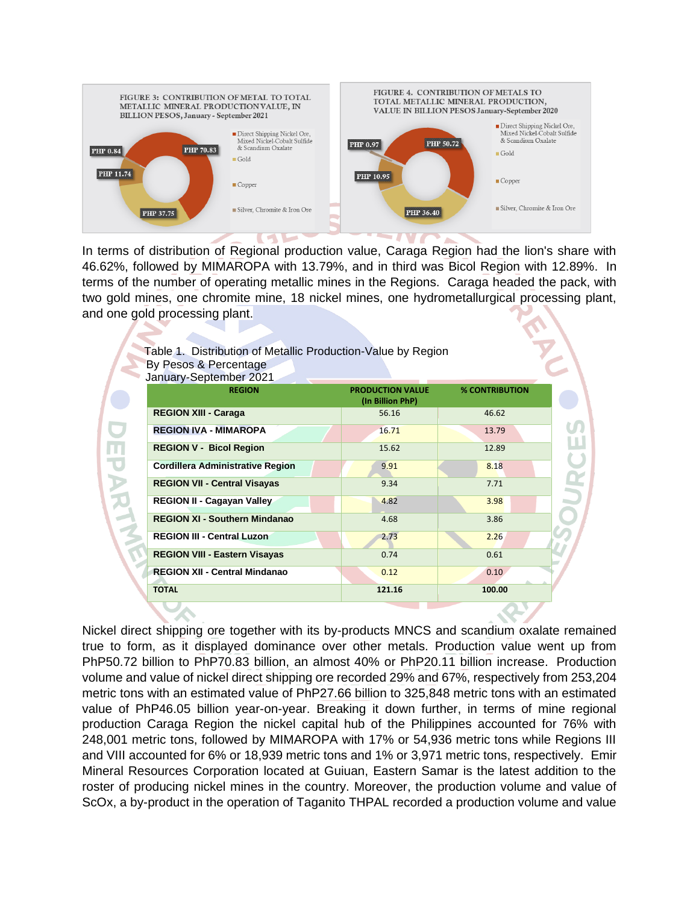

In terms of distribution of Regional production value, Caraga Region had the lion's share with 46.62%, followed by MIMAROPA with 13.79%, and in third was Bicol Region with 12.89%. In terms of the number of operating metallic mines in the Regions. Caraga headed the pack, with two gold mines, one chromite mine, 18 nickel mines, one hydrometallurgical processing plant, and one gold processing plant.

| January-September 2021<br><b>REGION</b> | <b>PRODUCTION VALUE</b> | <b>% CONTRIBUTION</b> |
|-----------------------------------------|-------------------------|-----------------------|
|                                         | (In Billion PhP)        |                       |
| <b>REGION XIII - Caraga</b>             | 56.16                   | 46.62                 |
| <b>REGION IVA - MIMAROPA</b>            | 16.71                   | 13.79                 |
| <b>REGION V - Bicol Region</b>          | 15.62                   | 12.89                 |
| <b>Cordillera Administrative Region</b> | 9.91                    | 8.18                  |
| <b>REGION VII - Central Visayas</b>     | 9.34                    | 7.71                  |
| REGION II - Cagayan Valley              | 4.82                    | 3.98                  |
| <b>REGION XI - Southern Mindanao</b>    | 4.68                    | 3.86                  |
| <b>REGION III - Central Luzon</b>       | 2.73                    | 2.26                  |
| <b>REGION VIII - Eastern Visayas</b>    | 0.74                    | 0.61                  |
| <b>REGION XII - Central Mindanao</b>    | 0.12                    | 0.10                  |

Nickel direct shipping ore together with its by-products MNCS and scandium oxalate remained true to form, as it displayed dominance over other metals. Production value went up from PhP50.72 billion to PhP70.83 billion, an almost 40% or PhP20.11 billion increase. Production volume and value of nickel direct shipping ore recorded 29% and 67%, respectively from 253,204 metric tons with an estimated value of PhP27.66 billion to 325,848 metric tons with an estimated value of PhP46.05 billion year-on-year. Breaking it down further, in terms of mine regional production Caraga Region the nickel capital hub of the Philippines accounted for 76% with 248,001 metric tons, followed by MIMAROPA with 17% or 54,936 metric tons while Regions III and VIII accounted for 6% or 18,939 metric tons and 1% or 3,971 metric tons, respectively. Emir Mineral Resources Corporation located at Guiuan, Eastern Samar is the latest addition to the roster of producing nickel mines in the country. Moreover, the production volume and value of ScOx, a by-product in the operation of Taganito THPAL recorded a production volume and value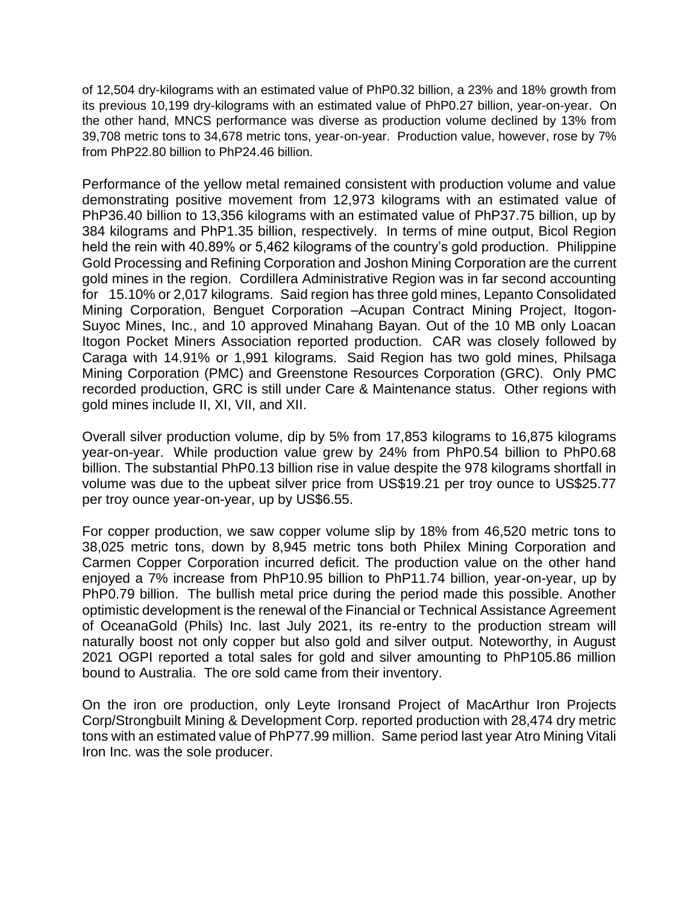of 12,504 dry-kilograms with an estimated value of PhP0.32 billion, a 23% and 18% growth from its previous 10,199 dry-kilograms with an estimated value of PhP0.27 billion, year-on-year. On the other hand, MNCS performance was diverse as production volume declined by 13% from 39,708 metric tons to 34,678 metric tons, year-on-year. Production value, however, rose by 7% from PhP22.80 billion to PhP24.46 billion.

Performance of the yellow metal remained consistent with production volume and value demonstrating positive movement from 12,973 kilograms with an estimated value of PhP36.40 billion to 13,356 kilograms with an estimated value of PhP37.75 billion, up by 384 kilograms and PhP1.35 billion, respectively. In terms of mine output, Bicol Region held the rein with 40.89% or 5,462 kilograms of the country's gold production. Philippine Gold Processing and Refining Corporation and Joshon Mining Corporation are the current gold mines in the region. Cordillera Administrative Region was in far second accounting for 15.10% or 2,017 kilograms. Said region has three gold mines, Lepanto Consolidated Mining Corporation, Benguet Corporation –Acupan Contract Mining Project, Itogon-Suyoc Mines, Inc., and 10 approved Minahang Bayan. Out of the 10 MB only Loacan Itogon Pocket Miners Association reported production. CAR was closely followed by Caraga with 14.91% or 1,991 kilograms. Said Region has two gold mines, Philsaga Mining Corporation (PMC) and Greenstone Resources Corporation (GRC). Only PMC recorded production, GRC is still under Care & Maintenance status. Other regions with gold mines include II, XI, VII, and XII.

Overall silver production volume, dip by 5% from 17,853 kilograms to 16,875 kilograms year-on-year. While production value grew by 24% from PhP0.54 billion to PhP0.68 billion. The substantial PhP0.13 billion rise in value despite the 978 kilograms shortfall in volume was due to the upbeat silver price from US\$19.21 per troy ounce to US\$25.77 per troy ounce year-on-year, up by US\$6.55.

For copper production, we saw copper volume slip by 18% from 46,520 metric tons to 38,025 metric tons, down by 8,945 metric tons both Philex Mining Corporation and Carmen Copper Corporation incurred deficit. The production value on the other hand enjoyed a 7% increase from PhP10.95 billion to PhP11.74 billion, year-on-year, up by PhP0.79 billion. The bullish metal price during the period made this possible. Another optimistic development is the renewal of the Financial or Technical Assistance Agreement of OceanaGold (Phils) Inc. last July 2021, its re-entry to the production stream will naturally boost not only copper but also gold and silver output. Noteworthy, in August 2021 OGPI reported a total sales for gold and silver amounting to PhP105.86 million bound to Australia. The ore sold came from their inventory.

On the iron ore production, only Leyte Ironsand Project of MacArthur Iron Projects Corp/Strongbuilt Mining & Development Corp. reported production with 28,474 dry metric tons with an estimated value of PhP77.99 million. Same period last year Atro Mining Vitali Iron Inc. was the sole producer.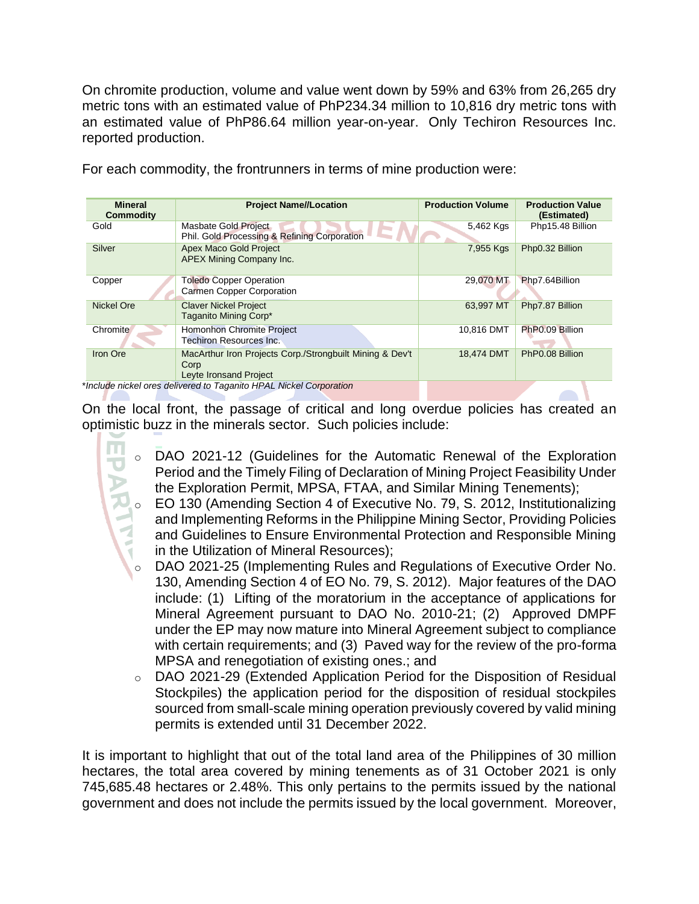On chromite production, volume and value went down by 59% and 63% from 26,265 dry metric tons with an estimated value of PhP234.34 million to 10,816 dry metric tons with an estimated value of PhP86.64 million year-on-year. Only Techiron Resources Inc. reported production.

| <b>Mineral</b><br><b>Commodity</b> | <b>Project Name//Location</b>                                                              | <b>Production Volume</b> | <b>Production Value</b><br>(Estimated) |  |  |  |  |  |
|------------------------------------|--------------------------------------------------------------------------------------------|--------------------------|----------------------------------------|--|--|--|--|--|
| Gold                               | Masbate Gold Project<br>Phil. Gold Processing & Refining Corporation                       | 5,462 Kgs                | Php15.48 Billion                       |  |  |  |  |  |
| Silver                             | <b>Apex Maco Gold Project</b><br>APEX Mining Company Inc.                                  | 7,955 Kgs                | Php0.32 Billion                        |  |  |  |  |  |
| Copper                             | Toledo Copper Operation<br><b>Carmen Copper Corporation</b>                                | 29,070 MT                | Php7.64Billion                         |  |  |  |  |  |
| Nickel Ore                         | <b>Claver Nickel Project</b><br>Taganito Mining Corp*                                      | 63.997 MT                | Php7.87 Billion                        |  |  |  |  |  |
| Chromite                           | <b>Homonhon Chromite Project</b><br><b>Techiron Resources Inc.</b>                         | 10,816 DMT               | PhP0.09 Billion                        |  |  |  |  |  |
| Iron Ore                           | MacArthur Iron Projects Corp./Strongbuilt Mining & Dev't<br>Corp<br>Leyte Ironsand Project | 18.474 DMT               | PhP0.08 Billion                        |  |  |  |  |  |
|                                    | *Include nickel ores delivered to Taganito HPAL Nickel Corporation                         |                          |                                        |  |  |  |  |  |

For each commodity, the frontrunners in terms of mine production were:

On the local front, the passage of critical and long overdue policies has created an optimistic buzz in the minerals sector. Such policies include:

- DAO 2021-12 (Guidelines for the Automatic Renewal of the Exploration Period and the Timely Filing of Declaration of Mining Project Feasibility Under the Exploration Permit, MPSA, FTAA, and Similar Mining Tenements);
- EO 130 (Amending Section 4 of Executive No. 79, S. 2012, Institutionalizing and Implementing Reforms in the Philippine Mining Sector, Providing Policies and Guidelines to Ensure Environmental Protection and Responsible Mining in the Utilization of Mineral Resources);
- DAO 2021-25 (Implementing Rules and Regulations of Executive Order No. 130, Amending Section 4 of EO No. 79, S. 2012). Major features of the DAO include: (1) Lifting of the moratorium in the acceptance of applications for Mineral Agreement pursuant to DAO No. 2010-21; (2) Approved DMPF under the EP may now mature into Mineral Agreement subject to compliance with certain requirements; and (3) Paved way for the review of the pro-forma MPSA and renegotiation of existing ones.; and
- o DAO 2021-29 (Extended Application Period for the Disposition of Residual Stockpiles) the application period for the disposition of residual stockpiles sourced from small-scale mining operation previously covered by valid mining permits is extended until 31 December 2022.

It is important to highlight that out of the total land area of the Philippines of 30 million hectares, the total area covered by mining tenements as of 31 October 2021 is only 745,685.48 hectares or 2.48%. This only pertains to the permits issued by the national government and does not include the permits issued by the local government. Moreover,